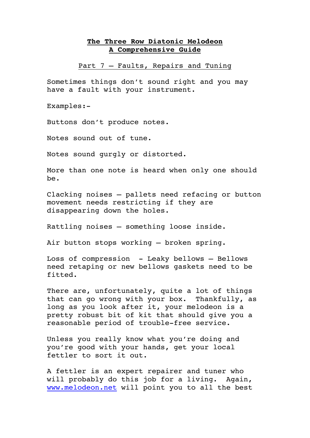## **The Three Row Diatonic Melodeon A Comprehensive Guide**

Part 7 – Faults, Repairs and Tuning

Sometimes things don't sound right and you may have a fault with your instrument.

Examples:-

Buttons don't produce notes.

Notes sound out of tune.

Notes sound gurgly or distorted.

More than one note is heard when only one should be.

Clacking noises – pallets need refacing or button movement needs restricting if they are disappearing down the holes.

Rattling noises – something loose inside.

Air button stops working – broken spring.

Loss of compression - Leaky bellows – Bellows need retaping or new bellows gaskets need to be fitted.

There are, unfortunately, quite a lot of things that can go wrong with your box. Thankfully, as long as you look after it, your melodeon is a pretty robust bit of kit that should give you a reasonable period of trouble-free service.

Unless you really know what you're doing and you're good with your hands, get your local fettler to sort it out.

A fettler is an expert repairer and tuner who will probably do this job for a living. Again, www.melodeon.net will point you to all the best